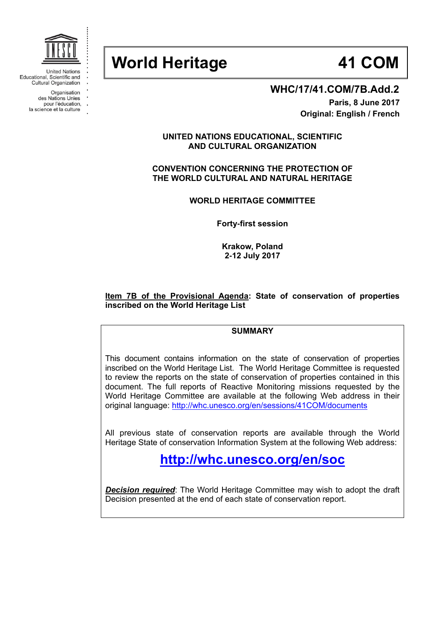

**United Nations** Educational, Scientific and **Cultural Organization** 

- Organisation
- des Nations Unies pour l'éducation,
- la science et la culture

# **World Heritage 41 COM**

# **WHC/17/41.COM/7B.Add.2**

**Paris, 8 June 2017 Original: English / French**

# **UNITED NATIONS EDUCATIONAL, SCIENTIFIC AND CULTURAL ORGANIZATION**

**CONVENTION CONCERNING THE PROTECTION OF THE WORLD CULTURAL AND NATURAL HERITAGE**

**WORLD HERITAGE COMMITTEE**

**Forty-first session**

**Krakow, Poland 2-12 July 2017**

# **Item 7B of the Provisional Agenda: State of conservation of properties inscribed on the World Heritage List**

# **SUMMARY**

This document contains information on the state of conservation of properties inscribed on the World Heritage List. The World Heritage Committee is requested to review the reports on the state of conservation of properties contained in this document. The full reports of Reactive Monitoring missions requested by the World Heritage Committee are available at the following Web address in their original language:<http://whc.unesco.org/en/sessions/41COM/documents>

All previous state of conservation reports are available through the World Heritage State of conservation Information System at the following Web address:

# **<http://whc.unesco.org/en/soc>**

*Decision required*: The World Heritage Committee may wish to adopt the draft Decision presented at the end of each state of conservation report.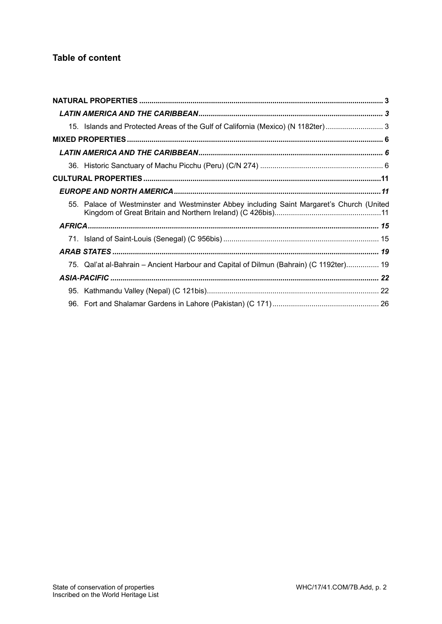# **Table of content**

| 15. Islands and Protected Areas of the Gulf of California (Mexico) (N 1182ter)  3         |  |
|-------------------------------------------------------------------------------------------|--|
|                                                                                           |  |
|                                                                                           |  |
|                                                                                           |  |
|                                                                                           |  |
|                                                                                           |  |
| 55. Palace of Westminster and Westminster Abbey including Saint Margaret's Church (United |  |
|                                                                                           |  |
|                                                                                           |  |
|                                                                                           |  |
| 75. Qal'at al-Bahrain – Ancient Harbour and Capital of Dilmun (Bahrain) (C 1192ter) 19    |  |
|                                                                                           |  |
|                                                                                           |  |
|                                                                                           |  |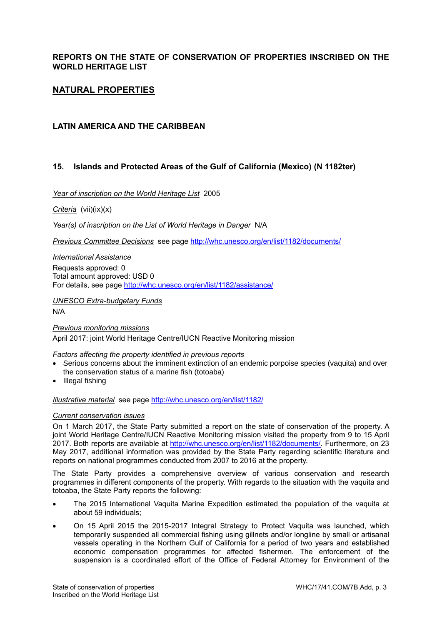# **REPORTS ON THE STATE OF CONSERVATION OF PROPERTIES INSCRIBED ON THE WORLD HERITAGE LIST**

# <span id="page-2-0"></span>**NATURAL PROPERTIES**

# <span id="page-2-1"></span>**LATIN AMERICA AND THE CARIBBEAN**

# <span id="page-2-2"></span>**15. Islands and Protected Areas of the Gulf of California (Mexico) (N 1182ter)**

#### *Year of inscription on the World Heritage List* 2005

*Criteria* (vii)(ix)(x)

*Year(s) of inscription on the List of World Heritage in Danger* N/A

*Previous Committee Decisions* see page [http://whc.unesco.org/en/list/1182/documents/](http://whc.unesco.org/en/list/1182/documents)

*International Assistance* 

Requests approved: 0 Total amount approved: USD 0 For details, see page [http://whc.unesco.org/en/list/1182/assistance/](http://whc.unesco.org/en/list/1182/assistance)

*UNESCO Extra-budgetary Funds*  N/A

*Previous monitoring missions*  April 2017: joint World Heritage Centre/IUCN Reactive Monitoring mission

#### *Factors affecting the property identified in previous reports*

- Serious concerns about the imminent extinction of an endemic porpoise species (vaquita) and over the conservation status of a marine fish (totoaba)
- Illegal fishing

*Illustrative material* see page<http://whc.unesco.org/en/list/1182/>

#### *Current conservation issues*

On 1 March 2017, the State Party submitted a report on the state of conservation of the property. A joint World Heritage Centre/IUCN Reactive Monitoring mission visited the property from 9 to 15 April 2017. Both reports are available at [http://whc.unesco.org/en/list/1182/documents/.](http://whc.unesco.org/en/list/1182/documents/) Furthermore, on 23 May 2017, additional information was provided by the State Party regarding scientific literature and reports on national programmes conducted from 2007 to 2016 at the property.

The State Party provides a comprehensive overview of various conservation and research programmes in different components of the property. With regards to the situation with the vaquita and totoaba, the State Party reports the following:

- The 2015 International Vaquita Marine Expedition estimated the population of the vaquita at about 59 individuals;
- On 15 April 2015 the 2015-2017 Integral Strategy to Protect Vaquita was launched, which temporarily suspended all commercial fishing using gillnets and/or longline by small or artisanal vessels operating in the Northern Gulf of California for a period of two years and established economic compensation programmes for affected fishermen. The enforcement of the suspension is a coordinated effort of the Office of Federal Attorney for Environment of the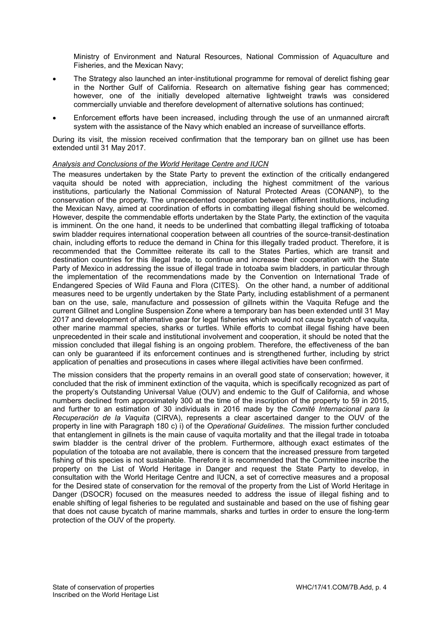Ministry of Environment and Natural Resources, National Commission of Aquaculture and Fisheries, and the Mexican Navy;

- The Strategy also launched an inter-institutional programme for removal of derelict fishing gear in the Norther Gulf of California. Research on alternative fishing gear has commenced; however, one of the initially developed alternative lightweight trawls was considered commercially unviable and therefore development of alternative solutions has continued;
- Enforcement efforts have been increased, including through the use of an unmanned aircraft system with the assistance of the Navy which enabled an increase of surveillance efforts.

During its visit, the mission received confirmation that the temporary ban on gillnet use has been extended until 31 May 2017.

#### *Analysis and Conclusions of the World Heritage Centre and IUCN*

The measures undertaken by the State Party to prevent the extinction of the critically endangered vaquita should be noted with appreciation, including the highest commitment of the various institutions, particularly the National Commission of Natural Protected Areas (CONANP), to the conservation of the property. The unprecedented cooperation between different institutions, including the Mexican Navy, aimed at coordination of efforts in combatting illegal fishing should be welcomed. However, despite the commendable efforts undertaken by the State Party, the extinction of the vaquita is imminent. On the one hand, it needs to be underlined that combatting illegal trafficking of totoaba swim bladder requires international cooperation between all countries of the source-transit-destination chain, including efforts to reduce the demand in China for this illegally traded product. Therefore, it is recommended that the Committee reiterate its call to the States Parties, which are transit and destination countries for this illegal trade, to continue and increase their cooperation with the State Party of Mexico in addressing the issue of illegal trade in totoaba swim bladders, in particular through the implementation of the recommendations made by the Convention on International Trade of Endangered Species of Wild Fauna and Flora (CITES). On the other hand, a number of additional measures need to be urgently undertaken by the State Party, including establishment of a permanent ban on the use, sale, manufacture and possession of gillnets within the Vaquita Refuge and the current Gillnet and Longline Suspension Zone where a temporary ban has been extended until 31 May 2017 and development of alternative gear for legal fisheries which would not cause bycatch of vaquita, other marine mammal species, sharks or turtles. While efforts to combat illegal fishing have been unprecedented in their scale and institutional involvement and cooperation, it should be noted that the mission concluded that illegal fishing is an ongoing problem. Therefore, the effectiveness of the ban can only be guaranteed if its enforcement continues and is strengthened further, including by strict application of penalties and prosecutions in cases where illegal activities have been confirmed.

The mission considers that the property remains in an overall good state of conservation; however, it concluded that the risk of imminent extinction of the vaquita, which is specifically recognized as part of the property's Outstanding Universal Value (OUV) and endemic to the Gulf of California, and whose numbers declined from approximately 300 at the time of the inscription of the property to 59 in 2015, and further to an estimation of 30 individuals in 2016 made by the *Comité Internacional para la Recuperación de la Vaquita* (CIRVA), represents a clear ascertained danger to the OUV of the property in line with Paragraph 180 c) i) of the *Operational Guidelines*. The mission further concluded that entanglement in gillnets is the main cause of vaquita mortality and that the illegal trade in totoaba swim bladder is the central driver of the problem. Furthermore, although exact estimates of the population of the totoaba are not available, there is concern that the increased pressure from targeted fishing of this species is not sustainable. Therefore it is recommended that the Committee inscribe the property on the List of World Heritage in Danger and request the State Party to develop, in consultation with the World Heritage Centre and IUCN, a set of corrective measures and a proposal for the Desired state of conservation for the removal of the property from the List of World Heritage in Danger (DSOCR) focused on the measures needed to address the issue of illegal fishing and to enable shifting of legal fisheries to be regulated and sustainable and based on the use of fishing gear that does not cause bycatch of marine mammals, sharks and turtles in order to ensure the long-term protection of the OUV of the property.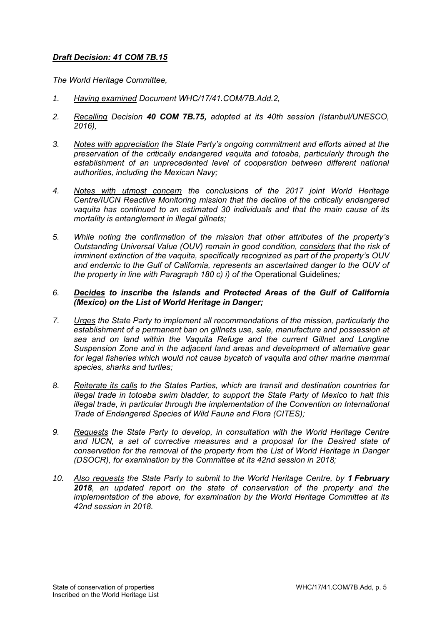# *Draft Decision: 41 COM 7B.15*

*The World Heritage Committee,* 

- *1. Having examined Document WHC/17/41.COM/7B.Add.2,*
- *2. Recalling Decision 40 COM 7B.75, adopted at its 40th session (Istanbul/UNESCO, 2016),*
- *3. Notes with appreciation the State Party's ongoing commitment and efforts aimed at the preservation of the critically endangered vaquita and totoaba, particularly through the establishment of an unprecedented level of cooperation between different national authorities, including the Mexican Navy;*
- *4. Notes with utmost concern the conclusions of the 2017 joint World Heritage Centre/IUCN Reactive Monitoring mission that the decline of the critically endangered vaquita has continued to an estimated 30 individuals and that the main cause of its mortality is entanglement in illegal gillnets;*
- *5. While noting the confirmation of the mission that other attributes of the property's Outstanding Universal Value (OUV) remain in good condition, considers that the risk of imminent extinction of the vaquita, specifically recognized as part of the property's OUV and endemic to the Gulf of California, represents an ascertained danger to the OUV of the property in line with Paragraph 180 c) i) of the* Operational Guidelines*;*

# *6. Decides to inscribe the Islands and Protected Areas of the Gulf of California (Mexico) on the List of World Heritage in Danger;*

- *7. Urges the State Party to implement all recommendations of the mission, particularly the establishment of a permanent ban on gillnets use, sale, manufacture and possession at sea and on land within the Vaquita Refuge and the current Gillnet and Longline Suspension Zone and in the adjacent land areas and development of alternative gear*  for legal fisheries which would not cause bycatch of vaguita and other marine mammal *species, sharks and turtles;*
- *8. Reiterate its calls to the States Parties, which are transit and destination countries for illegal trade in totoaba swim bladder, to support the State Party of Mexico to halt this illegal trade, in particular through the implementation of the Convention on International Trade of Endangered Species of Wild Fauna and Flora (CITES);*
- *9. Requests the State Party to develop, in consultation with the World Heritage Centre*  and IUCN, a set of corrective measures and a proposal for the Desired state of *conservation for the removal of the property from the List of World Heritage in Danger (DSOCR), for examination by the Committee at its 42nd session in 2018;*
- *10. Also requests the State Party to submit to the World Heritage Centre, by 1 February 2018, an updated report on the state of conservation of the property and the implementation of the above, for examination by the World Heritage Committee at its 42nd session in 2018.*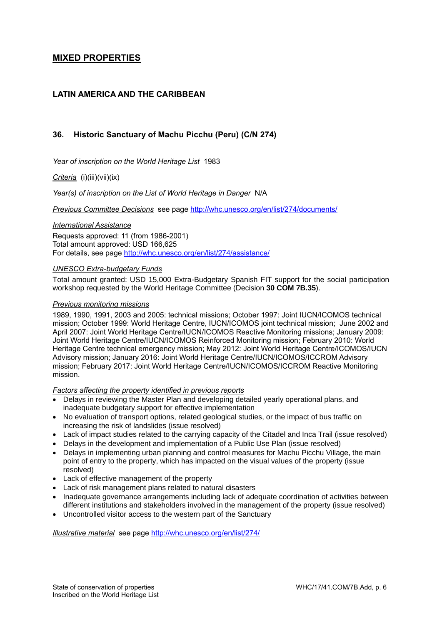# <span id="page-5-0"></span>**MIXED PROPERTIES**

# <span id="page-5-1"></span>**LATIN AMERICA AND THE CARIBBEAN**

# <span id="page-5-2"></span>**36. Historic Sanctuary of Machu Picchu (Peru) (C/N 274)**

*Year of inscription on the World Heritage List* 1983

*Criteria* (i)(iii)(vii)(ix)

*Year(s) of inscription on the List of World Heritage in Danger* N/A

*Previous Committee Decisions* see page [http://whc.unesco.org/en/list/274/documents/](http://whc.unesco.org/en/list/274/documents)

#### *International Assistance*

Requests approved: 11 (from 1986-2001) Total amount approved: USD 166,625 For details, see page [http://whc.unesco.org/en/list/274/assistance/](http://whc.unesco.org/en/list/274/assistance)

#### *UNESCO Extra-budgetary Funds*

Total amount granted: USD 15,000 Extra-Budgetary Spanish FIT support for the social participation workshop requested by the World Heritage Committee (Decision **30 COM 7B.35**).

#### *Previous monitoring missions*

1989, 1990, 1991, 2003 and 2005: technical missions; October 1997: Joint IUCN/ICOMOS technical mission; October 1999: World Heritage Centre, IUCN/ICOMOS joint technical mission; June 2002 and April 2007: Joint World Heritage Centre/IUCN/ICOMOS Reactive Monitoring missions; January 2009: Joint World Heritage Centre/IUCN/ICOMOS Reinforced Monitoring mission; February 2010: World Heritage Centre technical emergency mission; May 2012: Joint World Heritage Centre/ICOMOS/IUCN Advisory mission; January 2016: Joint World Heritage Centre/IUCN/ICOMOS/ICCROM Advisory mission; February 2017: Joint World Heritage Centre/IUCN/ICOMOS/ICCROM Reactive Monitoring mission.

*Factors affecting the property identified in previous reports* 

- Delays in reviewing the Master Plan and developing detailed yearly operational plans, and inadequate budgetary support for effective implementation
- No evaluation of transport options, related geological studies, or the impact of bus traffic on increasing the risk of landslides (issue resolved)
- Lack of impact studies related to the carrying capacity of the Citadel and Inca Trail (issue resolved)
- Delays in the development and implementation of a Public Use Plan (issue resolved)
- Delays in implementing urban planning and control measures for Machu Picchu Village, the main point of entry to the property, which has impacted on the visual values of the property (issue resolved)
- Lack of effective management of the property
- Lack of risk management plans related to natural disasters
- Inadequate governance arrangements including lack of adequate coordination of activities between different institutions and stakeholders involved in the management of the property (issue resolved)
- Uncontrolled visitor access to the western part of the Sanctuary

*Illustrative material* see page<http://whc.unesco.org/en/list/274/>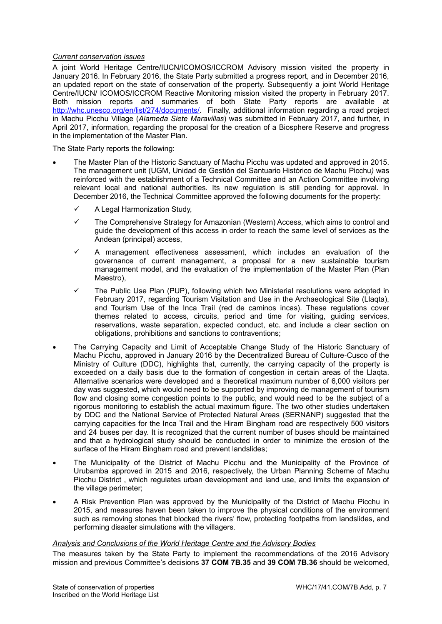#### *Current conservation issues*

A joint World Heritage Centre/IUCN/ICOMOS/ICCROM Advisory mission visited the property in January 2016. In February 2016, the State Party submitted a progress report, and in December 2016, an updated report on the state of conservation of the property. Subsequently a joint World Heritage Centre/IUCN/ ICOMOS/ICCROM Reactive Monitoring mission visited the property in February 2017. Both mission reports and summaries of both State Party reports are available at [http://whc.unesco.org/en/list/274/documents/.](http://whc.unesco.org/en/list/274/documents/) Finally, additional information regarding a road project in Machu Picchu Village (*Alameda Siete Maravillas*) was submitted in February 2017, and further, in April 2017, information, regarding the proposal for the creation of a Biosphere Reserve and progress in the implementation of the Master Plan.

The State Party reports the following:

- The Master Plan of the Historic Sanctuary of Machu Picchu was updated and approved in 2015. The management unit (UGM, Unidad de Gestión del Santuario Histórico de Machu Picchu*)* was reinforced with the establishment of a Technical Committee and an Action Committee involving relevant local and national authorities. Its new regulation is still pending for approval. In December 2016, the Technical Committee approved the following documents for the property:
	- A Legal Harmonization Study,
	- $\checkmark$  The Comprehensive Strategy for Amazonian (Western) Access, which aims to control and guide the development of this access in order to reach the same level of services as the Andean (principal) access,
	- A management effectiveness assessment, which includes an evaluation of the governance of current management, a proposal for a new sustainable tourism management model, and the evaluation of the implementation of the Master Plan (Plan Maestro),
	- The Public Use Plan (PUP), following which two Ministerial resolutions were adopted in February 2017, regarding Tourism Visitation and Use in the Archaeological Site (Llaqta), and Tourism Use of the Inca Trail (red de caminos incas). These regulations cover themes related to access, circuits, period and time for visiting, guiding services, reservations, waste separation, expected conduct, etc. and include a clear section on obligations, prohibitions and sanctions to contraventions;
- The Carrying Capacity and Limit of Acceptable Change Study of the Historic Sanctuary of Machu Picchu, approved in January 2016 by the Decentralized Bureau of Culture-Cusco of the Ministry of Culture (DDC), highlights that, currently, the carrying capacity of the property is exceeded on a daily basis due to the formation of congestion in certain areas of the Llaqta. Alternative scenarios were developed and a theoretical maximum number of 6,000 visitors per day was suggested, which would need to be supported by improving de management of tourism flow and closing some congestion points to the public, and would need to be the subject of a rigorous monitoring to establish the actual maximum figure. The two other studies undertaken by DDC and the National Service of Protected Natural Areas (SERNANP) suggested that the carrying capacities for the Inca Trail and the Hiram Bingham road are respectively 500 visitors and 24 buses per day. It is recognized that the current number of buses should be maintained and that a hydrological study should be conducted in order to minimize the erosion of the surface of the Hiram Bingham road and prevent landslides;
- The Municipality of the District of Machu Picchu and the Municipality of the Province of Urubamba approved in 2015 and 2016, respectively, the Urban Planning Scheme of Machu Picchu District , which regulates urban development and land use, and limits the expansion of the village perimeter;
- A Risk Prevention Plan was approved by the Municipality of the District of Machu Picchu in 2015, and measures haven been taken to improve the physical conditions of the environment such as removing stones that blocked the rivers' flow, protecting footpaths from landslides, and performing disaster simulations with the villagers.

#### *Analysis and Conclusions of the World Heritage Centre and the Advisory Bodies*

The measures taken by the State Party to implement the recommendations of the 2016 Advisory mission and previous Committee's decisions **37 COM 7B.35** and **39 COM 7B.36** should be welcomed,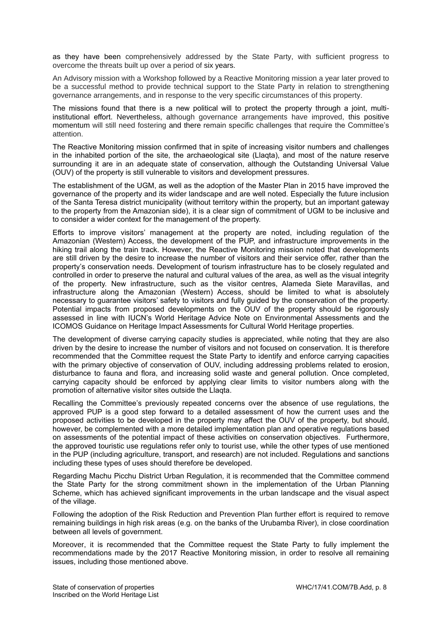as they have been comprehensively addressed by the State Party, with sufficient progress to overcome the threats built up over a period of six years.

An Advisory mission with a Workshop followed by a Reactive Monitoring mission a year later proved to be a successful method to provide technical support to the State Party in relation to strengthening governance arrangements, and in response to the very specific circumstances of this property.

The missions found that there is a new political will to protect the property through a joint, multiinstitutional effort. Nevertheless, although governance arrangements have improved, this positive momentum will still need fostering and there remain specific challenges that require the Committee's attention.

The Reactive Monitoring mission confirmed that in spite of increasing visitor numbers and challenges in the inhabited portion of the site, the archaeological site (Llaqta), and most of the nature reserve surrounding it are in an adequate state of conservation, although the Outstanding Universal Value (OUV) of the property is still vulnerable to visitors and development pressures.

The establishment of the UGM, as well as the adoption of the Master Plan in 2015 have improved the governance of the property and its wider landscape and are well noted. Especially the future inclusion of the Santa Teresa district municipality (without territory within the property, but an important gateway to the property from the Amazonian side), it is a clear sign of commitment of UGM to be inclusive and to consider a wider context for the management of the property.

Efforts to improve visitors' management at the property are noted, including regulation of the Amazonian (Western) Access, the development of the PUP, and infrastructure improvements in the hiking trail along the train track. However, the Reactive Monitoring mission noted that developments are still driven by the desire to increase the number of visitors and their service offer, rather than the property's conservation needs. Development of tourism infrastructure has to be closely regulated and controlled in order to preserve the natural and cultural values of the area, as well as the visual integrity of the property. New infrastructure, such as the visitor centres, Alameda Siete Maravillas, and infrastructure along the Amazonian (Western) Access, should be limited to what is absolutely necessary to guarantee visitors' safety to visitors and fully guided by the conservation of the property. Potential impacts from proposed developments on the OUV of the property should be rigorously assessed in line with IUCN's World Heritage Advice Note on Environmental Assessments and the ICOMOS Guidance on Heritage Impact Assessments for Cultural World Heritage properties.

The development of diverse carrying capacity studies is appreciated, while noting that they are also driven by the desire to increase the number of visitors and not focused on conservation. It is therefore recommended that the Committee request the State Party to identify and enforce carrying capacities with the primary objective of conservation of OUV, including addressing problems related to erosion, disturbance to fauna and flora, and increasing solid waste and general pollution. Once completed, carrying capacity should be enforced by applying clear limits to visitor numbers along with the promotion of alternative visitor sites outside the Llaqta.

Recalling the Committee's previously repeated concerns over the absence of use regulations, the approved PUP is a good step forward to a detailed assessment of how the current uses and the proposed activities to be developed in the property may affect the OUV of the property, but should, however, be complemented with a more detailed implementation plan and operative regulations based on assessments of the potential impact of these activities on conservation objectives. Furthermore, the approved touristic use regulations refer only to tourist use, while the other types of use mentioned in the PUP (including agriculture, transport, and research) are not included. Regulations and sanctions including these types of uses should therefore be developed.

Regarding Machu Picchu District Urban Regulation, it is recommended that the Committee commend the State Party for the strong commitment shown in the implementation of the Urban Planning Scheme, which has achieved significant improvements in the urban landscape and the visual aspect of the village.

Following the adoption of the Risk Reduction and Prevention Plan further effort is required to remove remaining buildings in high risk areas (e.g. on the banks of the Urubamba River), in close coordination between all levels of government.

Moreover, it is recommended that the Committee request the State Party to fully implement the recommendations made by the 2017 Reactive Monitoring mission, in order to resolve all remaining issues, including those mentioned above.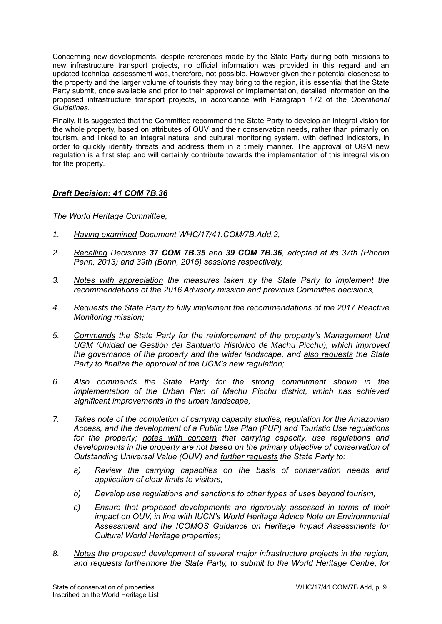Concerning new developments, despite references made by the State Party during both missions to new infrastructure transport projects, no official information was provided in this regard and an updated technical assessment was, therefore, not possible. However given their potential closeness to the property and the larger volume of tourists they may bring to the region, it is essential that the State Party submit, once available and prior to their approval or implementation, detailed information on the proposed infrastructure transport projects, in accordance with Paragraph 172 of the *Operational Guidelines*.

Finally, it is suggested that the Committee recommend the State Party to develop an integral vision for the whole property, based on attributes of OUV and their conservation needs, rather than primarily on tourism, and linked to an integral natural and cultural monitoring system, with defined indicators, in order to quickly identify threats and address them in a timely manner. The approval of UGM new regulation is a first step and will certainly contribute towards the implementation of this integral vision for the property.

# *Draft Decision: 41 COM 7B.36*

*The World Heritage Committee,* 

- *1. Having examined Document WHC/17/41.COM/7B.Add.2,*
- *2. Recalling Decisions 37 COM 7B.35 and 39 COM 7B.36, adopted at its 37th (Phnom Penh, 2013) and 39th (Bonn, 2015) sessions respectively,*
- *3. Notes with appreciation the measures taken by the State Party to implement the recommendations of the 2016 Advisory mission and previous Committee decisions,*
- *4. Requests the State Party to fully implement the recommendations of the 2017 Reactive Monitoring mission;*
- *5. Commends the State Party for the reinforcement of the property's Management Unit UGM (Unidad de Gestión del Santuario Histórico de Machu Picchu), which improved the governance of the property and the wider landscape, and also requests the State Party to finalize the approval of the UGM's new regulation;*
- *6. Also commends the State Party for the strong commitment shown in the implementation of the Urban Plan of Machu Picchu district, which has achieved significant improvements in the urban landscape;*
- *7. Takes note of the completion of carrying capacity studies, regulation for the Amazonian Access, and the development of a Public Use Plan (PUP) and Touristic Use regulations for the property; notes with concern that carrying capacity, use regulations and developments in the property are not based on the primary objective of conservation of Outstanding Universal Value (OUV) and further requests the State Party to:*
	- *a) Review the carrying capacities on the basis of conservation needs and application of clear limits to visitors,*
	- *b) Develop use regulations and sanctions to other types of uses beyond tourism,*
	- *c) Ensure that proposed developments are rigorously assessed in terms of their impact on OUV, in line with IUCN's World Heritage Advice Note on Environmental Assessment and the ICOMOS Guidance on Heritage Impact Assessments for Cultural World Heritage properties;*
- *8. Notes the proposed development of several major infrastructure projects in the region, and requests furthermore the State Party, to submit to the World Heritage Centre, for*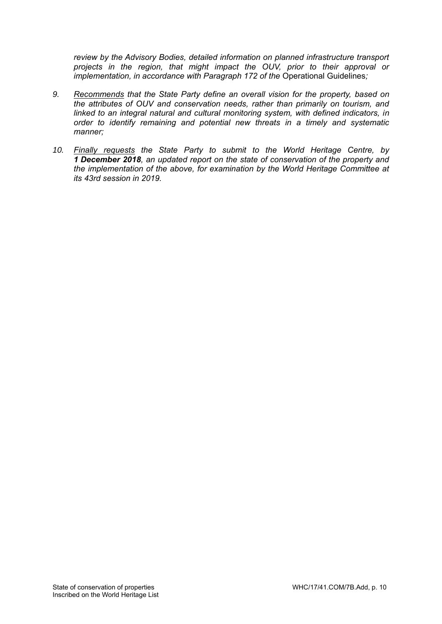*review by the Advisory Bodies, detailed information on planned infrastructure transport*  projects in the region, that might impact the OUV, prior to their approval or *implementation, in accordance with Paragraph 172 of the Operational Guidelines;* 

- *9. Recommends that the State Party define an overall vision for the property, based on the attributes of OUV and conservation needs, rather than primarily on tourism, and linked to an integral natural and cultural monitoring system, with defined indicators, in order to identify remaining and potential new threats in a timely and systematic manner;*
- *10. Finally requests the State Party to submit to the World Heritage Centre, by 1 December 2018, an updated report on the state of conservation of the property and the implementation of the above, for examination by the World Heritage Committee at its 43rd session in 2019.*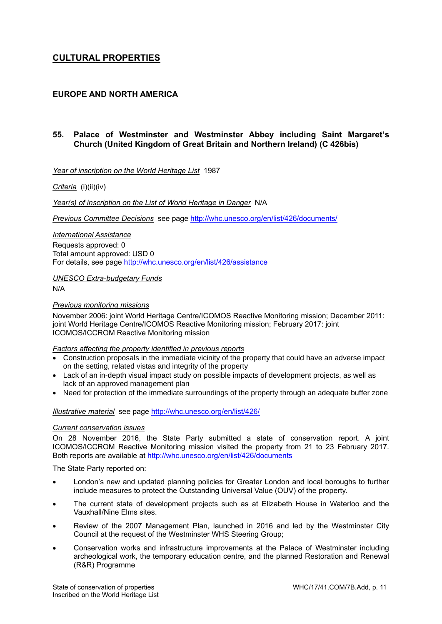# <span id="page-10-0"></span>**CULTURAL PROPERTIES**

# <span id="page-10-1"></span>**EUROPE AND NORTH AMERICA**

# <span id="page-10-2"></span>**55. Palace of Westminster and Westminster Abbey including Saint Margaret's Church (United Kingdom of Great Britain and Northern Ireland) (C 426bis)**

*Year of inscription on the World Heritage List* 1987

*Criteria* (i)(ii)(iv)

*Year(s) of inscription on the List of World Heritage in Danger* N/A

*Previous Committee Decisions* see page<http://whc.unesco.org/en/list/426/documents/>

#### *International Assistance*

Requests approved: 0 Total amount approved: USD 0 For details, see page<http://whc.unesco.org/en/list/426/assistance>

*UNESCO Extra-budgetary Funds*  N/A

#### *Previous monitoring missions*

November 2006: joint World Heritage Centre/ICOMOS Reactive Monitoring mission; December 2011: joint World Heritage Centre/ICOMOS Reactive Monitoring mission; February 2017: joint ICOMOS/ICCROM Reactive Monitoring mission

#### *Factors affecting the property identified in previous reports*

- Construction proposals in the immediate vicinity of the property that could have an adverse impact on the setting, related vistas and integrity of the property
- Lack of an in-depth visual impact study on possible impacts of development projects, as well as lack of an approved management plan
- Need for protection of the immediate surroundings of the property through an adequate buffer zone

#### *Illustrative material* see page<http://whc.unesco.org/en/list/426/>

#### *Current conservation issues*

On 28 November 2016, the State Party submitted a state of conservation report. A joint ICOMOS/ICCROM Reactive Monitoring mission visited the property from 21 to 23 February 2017. Both reports are available at<http://whc.unesco.org/en/list/426/documents>

The State Party reported on:

- London's new and updated planning policies for Greater London and local boroughs to further include measures to protect the Outstanding Universal Value (OUV) of the property.
- The current state of development projects such as at Elizabeth House in Waterloo and the Vauxhall/Nine Elms sites.
- Review of the 2007 Management Plan, launched in 2016 and led by the Westminster City Council at the request of the Westminster WHS Steering Group;
- Conservation works and infrastructure improvements at the Palace of Westminster including archeological work, the temporary education centre, and the planned Restoration and Renewal (R&R) Programme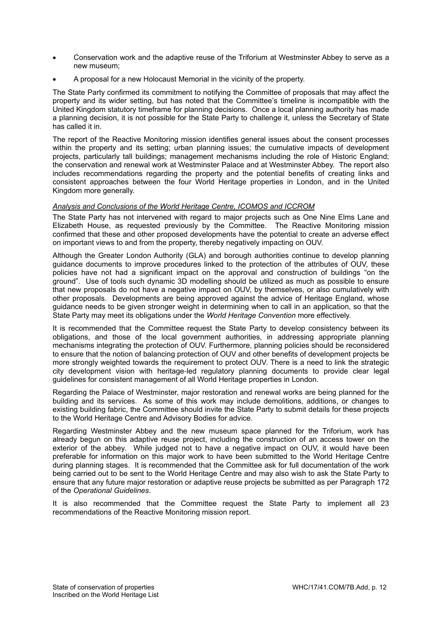- Conservation work and the adaptive reuse of the Triforium at Westminster Abbey to serve as a new museum;
- A proposal for a new Holocaust Memorial in the vicinity of the property.

The State Party confirmed its commitment to notifying the Committee of proposals that may affect the property and its wider setting, but has noted that the Committee's timeline is incompatible with the United Kingdom statutory timeframe for planning decisions. Once a local planning authority has made a planning decision, it is not possible for the State Party to challenge it, unless the Secretary of State has called it in.

The report of the Reactive Monitoring mission identifies general issues about the consent processes within the property and its setting; urban planning issues; the cumulative impacts of development projects, particularly tall buildings; management mechanisms including the role of Historic England; the conservation and renewal work at Westminster Palace and at Westminster Abbey. The report also includes recommendations regarding the property and the potential benefits of creating links and consistent approaches between the four World Heritage properties in London, and in the United Kingdom more generally.

#### *Analysis and Conclusions of the World Heritage Centre, ICOMOS and ICCROM*

The State Party has not intervened with regard to major projects such as One Nine Elms Lane and Elizabeth House, as requested previously by the Committee. The Reactive Monitoring mission confirmed that these and other proposed developments have the potential to create an adverse effect on important views to and from the property, thereby negatively impacting on OUV.

Although the Greater London Authority (GLA) and borough authorities continue to develop planning guidance documents to improve procedures linked to the protection of the attributes of OUV, these policies have not had a significant impact on the approval and construction of buildings "on the ground". Use of tools such dynamic 3D modelling should be utilized as much as possible to ensure that new proposals do not have a negative impact on OUV, by themselves, or also cumulatively with other proposals. Developments are being approved against the advice of Heritage England, whose guidance needs to be given stronger weight in determining when to call in an application, so that the State Party may meet its obligations under the *World Heritage Convention* more effectively.

It is recommended that the Committee request the State Party to develop consistency between its obligations, and those of the local government authorities, in addressing appropriate planning mechanisms integrating the protection of OUV. Furthermore, planning policies should be reconsidered to ensure that the notion of balancing protection of OUV and other benefits of development projects be more strongly weighted towards the requirement to protect OUV. There is a need to link the strategic city development vision with heritage-led regulatory planning documents to provide clear legal guidelines for consistent management of all World Heritage properties in London.

Regarding the Palace of Westminster, major restoration and renewal works are being planned for the building and its services. As some of this work may include demolitions, additions, or changes to existing building fabric, the Committee should invite the State Party to submit details for these projects to the World Heritage Centre and Advisory Bodies for advice.

Regarding Westminster Abbey and the new museum space planned for the Triforium, work has already begun on this adaptive reuse project, including the construction of an access tower on the exterior of the abbey. While judged not to have a negative impact on OUV, it would have been preferable for information on this major work to have been submitted to the World Heritage Centre during planning stages. It is recommended that the Committee ask for full documentation of the work being carried out to be sent to the World Heritage Centre and may also wish to ask the State Party to ensure that any future major restoration or adaptive reuse projects be submitted as per Paragraph 172 of the *Operational Guidelines*.

It is also recommended that the Committee request the State Party to implement all 23 recommendations of the Reactive Monitoring mission report.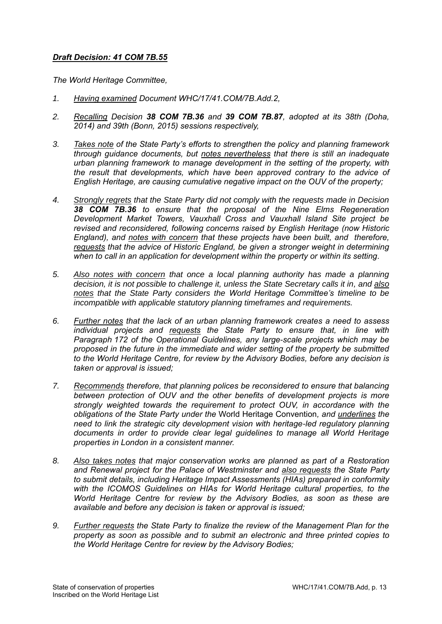# *Draft Decision: 41 COM 7B.55*

*The World Heritage Committee,* 

- *1. Having examined Document WHC/17/41.COM/7B.Add.2,*
- *2. Recalling Decision 38 COM 7B.36 and 39 COM 7B.87, adopted at its 38th (Doha, 2014) and 39th (Bonn, 2015) sessions respectively,*
- *3. Takes note of the State Party's efforts to strengthen the policy and planning framework through guidance documents, but notes nevertheless that there is still an inadequate urban planning framework to manage development in the setting of the property, with the result that developments, which have been approved contrary to the advice of English Heritage, are causing cumulative negative impact on the OUV of the property;*
- *4. Strongly regrets that the State Party did not comply with the requests made in Decision 38 COM 7B.36 to ensure that the proposal of the Nine Elms Regeneration Development Market Towers, Vauxhall Cross and Vauxhall Island Site project be revised and reconsidered, following concerns raised by English Heritage (now Historic England), and notes with concern that these projects have been built, and therefore, requests that the advice of Historic England, be given a stronger weight in determining when to call in an application for development within the property or within its setting.*
- *5. Also notes with concern that once a local planning authority has made a planning decision, it is not possible to challenge it, unless the State Secretary calls it in, and also notes that the State Party considers the World Heritage Committee's timeline to be incompatible with applicable statutory planning timeframes and requirements.*
- *6. Further notes that the lack of an urban planning framework creates a need to assess individual projects and requests the State Party to ensure that, in line with Paragraph 172 of the Operational Guidelines, any large-scale projects which may be proposed in the future in the immediate and wider setting of the property be submitted to the World Heritage Centre, for review by the Advisory Bodies, before any decision is taken or approval is issued;*
- *7. Recommends therefore, that planning polices be reconsidered to ensure that balancing between protection of OUV and the other benefits of development projects is more strongly weighted towards the requirement to protect OUV, in accordance with the obligations of the State Party under the* World Heritage Convention*, and underlines the need to link the strategic city development vision with heritage-led regulatory planning documents in order to provide clear legal guidelines to manage all World Heritage properties in London in a consistent manner.*
- *8. Also takes notes that major conservation works are planned as part of a Restoration and Renewal project for the Palace of Westminster and also requests the State Party to submit details, including Heritage Impact Assessments (HIAs) prepared in conformity with the ICOMOS Guidelines on HIAs for World Heritage cultural properties, to the World Heritage Centre for review by the Advisory Bodies, as soon as these are available and before any decision is taken or approval is issued;*
- *9. Further requests the State Party to finalize the review of the Management Plan for the property as soon as possible and to submit an electronic and three printed copies to the World Heritage Centre for review by the Advisory Bodies;*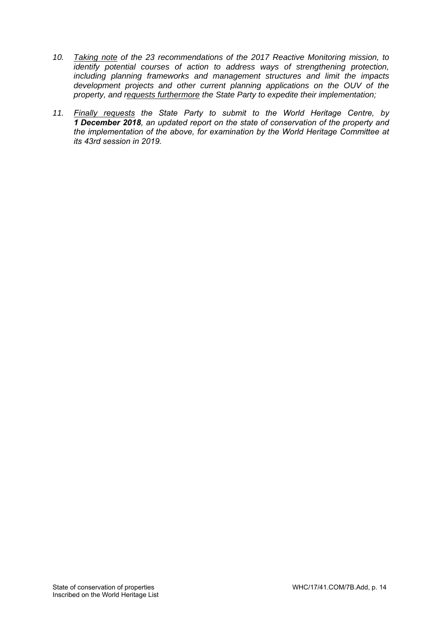- *10. Taking note of the 23 recommendations of the 2017 Reactive Monitoring mission, to identify potential courses of action to address ways of strengthening protection, including planning frameworks and management structures and limit the impacts development projects and other current planning applications on the OUV of the property, and requests furthermore the State Party to expedite their implementation;*
- *11. Finally requests the State Party to submit to the World Heritage Centre, by 1 December 2018, an updated report on the state of conservation of the property and the implementation of the above, for examination by the World Heritage Committee at its 43rd session in 2019.*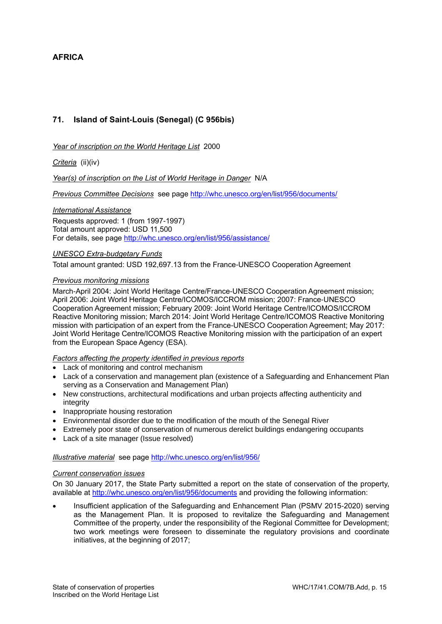# <span id="page-14-0"></span>**AFRICA**

# <span id="page-14-1"></span>**71. Island of Saint-Louis (Senegal) (C 956bis)**

*Year of inscription on the World Heritage List* 2000

*Criteria* (ii)(iv)

*Year(s) of inscription on the List of World Heritage in Danger* N/A

*Previous Committee Decisions* see page [http://whc.unesco.org/en/list/956/documents/](http://whc.unesco.org/en/list/956/documents)

#### *International Assistance*

Requests approved: 1 (from 1997-1997) Total amount approved: USD 11,500 For details, see page [http://whc.unesco.org/en/list/956/assistance/](http://whc.unesco.org/en/list/956/assistance)

#### *UNESCO Extra-budgetary Funds*

Total amount granted: USD 192,697.13 from the France-UNESCO Cooperation Agreement

#### *Previous monitoring missions*

March-April 2004: Joint World Heritage Centre/France-UNESCO Cooperation Agreement mission; April 2006: Joint World Heritage Centre/ICOMOS/ICCROM mission; 2007: France-UNESCO Cooperation Agreement mission; February 2009: Joint World Heritage Centre/ICOMOS/ICCROM Reactive Monitoring mission; March 2014: Joint World Heritage Centre/ICOMOS Reactive Monitoring mission with participation of an expert from the France-UNESCO Cooperation Agreement; May 2017: Joint World Heritage Centre/ICOMOS Reactive Monitoring mission with the participation of an expert from the European Space Agency (ESA).

#### *Factors affecting the property identified in previous reports*

- Lack of monitoring and control mechanism
- Lack of a conservation and management plan (existence of a Safeguarding and Enhancement Plan serving as a Conservation and Management Plan)
- New constructions, architectural modifications and urban projects affecting authenticity and integrity
- Inappropriate housing restoration
- Environmental disorder due to the modification of the mouth of the Senegal River
- Extremely poor state of conservation of numerous derelict buildings endangering occupants
- Lack of a site manager (Issue resolved)

#### *Illustrative material* see page<http://whc.unesco.org/en/list/956/>

#### *Current conservation issues*

On 30 January 2017, the State Party submitted a report on the state of conservation of the property, available at<http://whc.unesco.org/en/list/956/documents> and providing the following information:

 Insufficient application of the Safeguarding and Enhancement Plan (PSMV 2015-2020) serving as the Management Plan. It is proposed to revitalize the Safeguarding and Management Committee of the property, under the responsibility of the Regional Committee for Development; two work meetings were foreseen to disseminate the regulatory provisions and coordinate initiatives, at the beginning of 2017;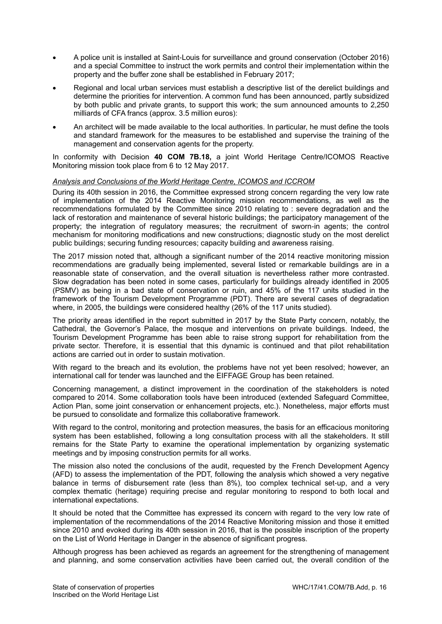- A police unit is installed at Saint-Louis for surveillance and ground conservation (October 2016) and a special Committee to instruct the work permits and control their implementation within the property and the buffer zone shall be established in February 2017;
- Regional and local urban services must establish a descriptive list of the derelict buildings and determine the priorities for intervention. A common fund has been announced, partly subsidized by both public and private grants, to support this work; the sum announced amounts to 2,250 milliards of CFA francs (approx. 3.5 million euros):
- An architect will be made available to the local authorities. In particular, he must define the tools and standard framework for the measures to be established and supervise the training of the management and conservation agents for the property.

In conformity with Decision **40 COM 7B.18,** a joint World Heritage Centre/ICOMOS Reactive Monitoring mission took place from 6 to 12 May 2017.

#### *Analysis and Conclusions of the World Heritage Centre, ICOMOS and ICCROM*

During its 40th session in 2016, the Committee expressed strong concern regarding the very low rate of implementation of the 2014 Reactive Monitoring mission recommendations, as well as the recommendations formulated by the Committee since 2010 relating to : severe degradation and the lack of restoration and maintenance of several historic buildings; the participatory management of the property; the integration of regulatory measures; the recruitment of sworn-in agents; the control mechanism for monitoring modifications and new constructions; diagnostic study on the most derelict public buildings; securing funding resources; capacity building and awareness raising.

The 2017 mission noted that, although a significant number of the 2014 reactive monitoring mission recommendations are gradually being implemented, several listed or remarkable buildings are in a reasonable state of conservation, and the overall situation is nevertheless rather more contrasted. Slow degradation has been noted in some cases, particularly for buildings already identified in 2005 (PSMV) as being in a bad state of conservation or ruin, and 45% of the 117 units studied in the framework of the Tourism Development Programme (PDT). There are several cases of degradation where, in 2005, the buildings were considered healthy (26% of the 117 units studied).

The priority areas identified in the report submitted in 2017 by the State Party concern, notably, the Cathedral, the Governor's Palace, the mosque and interventions on private buildings. Indeed, the Tourism Development Programme has been able to raise strong support for rehabilitation from the private sector. Therefore, it is essential that this dynamic is continued and that pilot rehabilitation actions are carried out in order to sustain motivation.

With regard to the breach and its evolution, the problems have not yet been resolved; however, an international call for tender was launched and the EIFFAGE Group has been retained.

Concerning management, a distinct improvement in the coordination of the stakeholders is noted compared to 2014. Some collaboration tools have been introduced (extended Safeguard Committee, Action Plan, some joint conservation or enhancement projects, etc.). Nonetheless, major efforts must be pursued to consolidate and formalize this collaborative framework.

With regard to the control, monitoring and protection measures, the basis for an efficacious monitoring system has been established, following a long consultation process with all the stakeholders. It still remains for the State Party to examine the operational implementation by organizing systematic meetings and by imposing construction permits for all works.

The mission also noted the conclusions of the audit, requested by the French Development Agency (AFD) to assess the implementation of the PDT, following the analysis which showed a very negative balance in terms of disbursement rate (less than 8%), too complex technical set-up, and a very complex thematic (heritage) requiring precise and regular monitoring to respond to both local and international expectations.

It should be noted that the Committee has expressed its concern with regard to the very low rate of implementation of the recommendations of the 2014 Reactive Monitoring mission and those it emitted since 2010 and evoked during its 40th session in 2016, that is the possible inscription of the property on the List of World Heritage in Danger in the absence of significant progress.

Although progress has been achieved as regards an agreement for the strengthening of management and planning, and some conservation activities have been carried out, the overall condition of the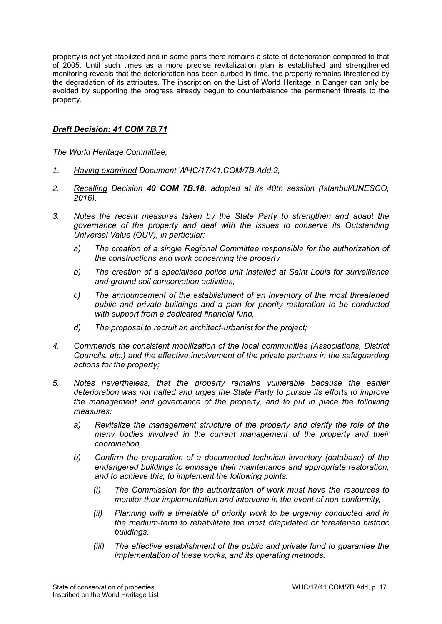property is not yet stabilized and in some parts there remains a state of deterioration compared to that of 2005. Until such times as a more precise revitalization plan is established and strengthened monitoring reveals that the deterioration has been curbed in time, the property remains threatened by the degradation of its attributes. The inscription on the List of World Heritage in Danger can only be avoided by supporting the progress already begun to counterbalance the permanent threats to the property.

# *Draft Decision: 41 COM 7B.71*

*The World Heritage Committee,* 

- *1. Having examined Document WHC/17/41.COM/7B.Add.2,*
- *2. Recalling Decision 40 COM 7B.18, adopted at its 40th session (Istanbul/UNESCO, 2016),*
- *3. Notes the recent measures taken by the State Party to strengthen and adapt the governance of the property and deal with the issues to conserve its Outstanding Universal Value (OUV), in particular:*
	- *a) The creation of a single Regional Committee responsible for the authorization of the constructions and work concerning the property,*
	- *b) The creation of a specialised police unit installed at Saint Louis for surveillance and ground soil conservation activities,*
	- *c) The announcement of the establishment of an inventory of the most threatened public and private buildings and a plan for priority restoration to be conducted with support from a dedicated financial fund,*
	- *d) The proposal to recruit an architect-urbanist for the project;*
- *4. Commends the consistent mobilization of the local communities (Associations, District Councils, etc.) and the effective involvement of the private partners in the safeguarding actions for the property;*
- *5. Notes nevertheless, that the property remains vulnerable because the earlier deterioration was not halted and urges the State Party to pursue its efforts to improve the management and governance of the property, and to put in place the following measures:*
	- *a) Revitalize the management structure of the property and clarify the role of the many bodies involved in the current management of the property and their coordination,*
	- *b) Confirm the preparation of a documented technical inventory (database) of the endangered buildings to envisage their maintenance and appropriate restoration, and to achieve this, to implement the following points:*
		- *(i) The Commission for the authorization of work must have the resources to monitor their implementation and intervene in the event of non-conformity,*
		- *(ii) Planning with a timetable of priority work to be urgently conducted and in the medium-term to rehabilitate the most dilapidated or threatened historic buildings,*
		- *(iii) The effective establishment of the public and private fund to guarantee the implementation of these works, and its operating methods,*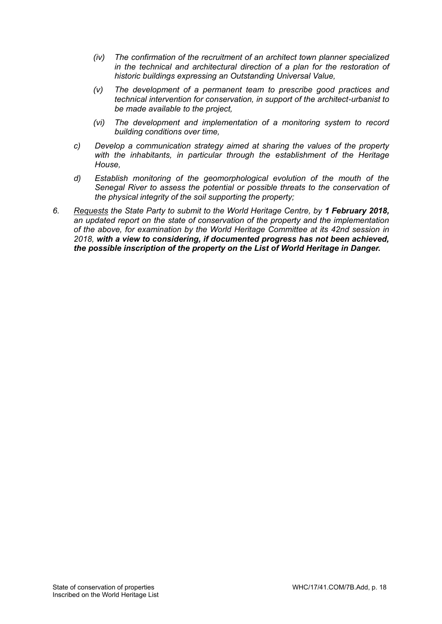- *(iv) The confirmation of the recruitment of an architect town planner specialized in the technical and architectural direction of a plan for the restoration of historic buildings expressing an Outstanding Universal Value,*
- *(v) The development of a permanent team to prescribe good practices and technical intervention for conservation, in support of the architect-urbanist to be made available to the project,*
- *(vi) The development and implementation of a monitoring system to record building conditions over time,*
- *c) Develop a communication strategy aimed at sharing the values of the property with the inhabitants, in particular through the establishment of the Heritage House,*
- *d) Establish monitoring of the geomorphological evolution of the mouth of the Senegal River to assess the potential or possible threats to the conservation of the physical integrity of the soil supporting the property;*
- *6. Requests the State Party to submit to the World Heritage Centre, by 1 February 2018, an updated report on the state of conservation of the property and the implementation of the above, for examination by the World Heritage Committee at its 42nd session in 2018, with a view to considering, if documented progress has not been achieved, the possible inscription of the property on the List of World Heritage in Danger.*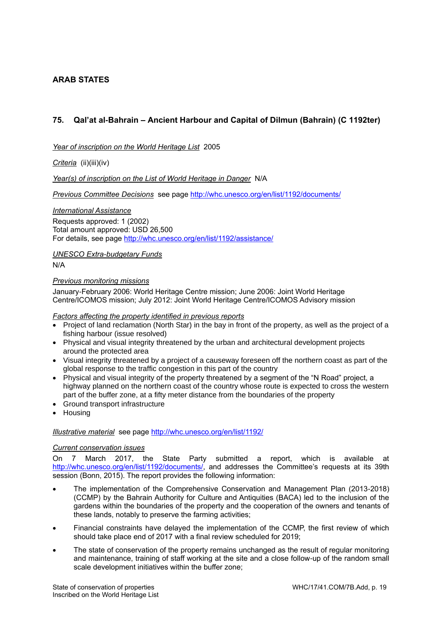# <span id="page-18-0"></span>**ARAB STATES**

# <span id="page-18-1"></span>**75. Qal'at al-Bahrain – Ancient Harbour and Capital of Dilmun (Bahrain) (C 1192ter)**

*Year of inscription on the World Heritage List* 2005

*Criteria* (ii)(iii)(iv)

*Year(s) of inscription on the List of World Heritage in Danger* N/A

*Previous Committee Decisions* see page [http://whc.unesco.org/en/list/1192/documents/](http://whc.unesco.org/en/list/1192/documents)

#### *International Assistance*

Requests approved: 1 (2002) Total amount approved: USD 26,500 For details, see page [http://whc.unesco.org/en/list/1192/assistance/](http://whc.unesco.org/en/list/1192/assistance)

*UNESCO Extra-budgetary Funds*  N/A

#### *Previous monitoring missions*

January-February 2006: World Heritage Centre mission; June 2006: Joint World Heritage Centre/ICOMOS mission; July 2012: Joint World Heritage Centre/ICOMOS Advisory mission

#### *Factors affecting the property identified in previous reports*

- Project of land reclamation (North Star) in the bay in front of the property, as well as the project of a fishing harbour (issue resolved)
- Physical and visual integrity threatened by the urban and architectural development projects around the protected area
- Visual integrity threatened by a project of a causeway foreseen off the northern coast as part of the global response to the traffic congestion in this part of the country
- Physical and visual integrity of the property threatened by a segment of the "N Road" project, a highway planned on the northern coast of the country whose route is expected to cross the western part of the buffer zone, at a fifty meter distance from the boundaries of the property
- Ground transport infrastructure
- Housing

### *Illustrative material* see page<http://whc.unesco.org/en/list/1192/>

#### *Current conservation issues*

On 7 March 2017, the State Party submitted a report, which is available at [http://whc.unesco.org/en/list/1192/documents/,](http://whc.unesco.org/en/list/1192/documents/) and addresses the Committee's requests at its 39th session (Bonn, 2015). The report provides the following information:

- The implementation of the Comprehensive Conservation and Management Plan (2013-2018) (CCMP) by the Bahrain Authority for Culture and Antiquities (BACA) led to the inclusion of the gardens within the boundaries of the property and the cooperation of the owners and tenants of these lands, notably to preserve the farming activities;
- Financial constraints have delayed the implementation of the CCMP, the first review of which should take place end of 2017 with a final review scheduled for 2019;
- The state of conservation of the property remains unchanged as the result of regular monitoring and maintenance, training of staff working at the site and a close follow-up of the random small scale development initiatives within the buffer zone;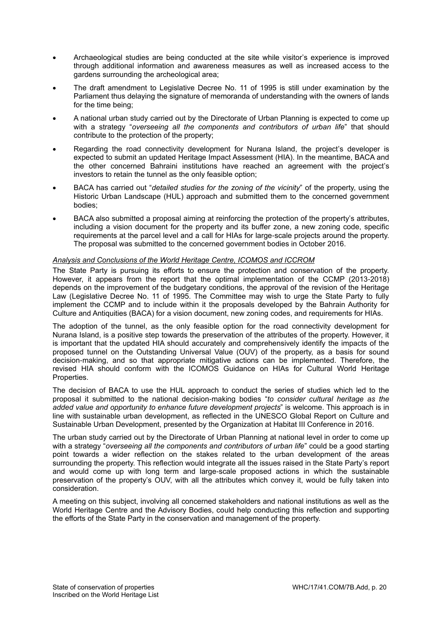- Archaeological studies are being conducted at the site while visitor's experience is improved through additional information and awareness measures as well as increased access to the gardens surrounding the archeological area;
- The draft amendment to Legislative Decree No. 11 of 1995 is still under examination by the Parliament thus delaying the signature of memoranda of understanding with the owners of lands for the time being;
- A national urban study carried out by the Directorate of Urban Planning is expected to come up with a strategy "*overseeing all the components and contributors of urban life*" that should contribute to the protection of the property;
- Regarding the road connectivity development for Nurana Island, the project's developer is expected to submit an updated Heritage Impact Assessment (HIA). In the meantime, BACA and the other concerned Bahraini institutions have reached an agreement with the project's investors to retain the tunnel as the only feasible option;
- BACA has carried out "*detailed studies for the zoning of the vicinity*" of the property, using the Historic Urban Landscape (HUL) approach and submitted them to the concerned government bodies;
- BACA also submitted a proposal aiming at reinforcing the protection of the property's attributes, including a vision document for the property and its buffer zone, a new zoning code, specific requirements at the parcel level and a call for HIAs for large-scale projects around the property. The proposal was submitted to the concerned government bodies in October 2016.

#### *Analysis and Conclusions of the World Heritage Centre, ICOMOS and ICCROM*

The State Party is pursuing its efforts to ensure the protection and conservation of the property. However, it appears from the report that the optimal implementation of the CCMP (2013-2018) depends on the improvement of the budgetary conditions, the approval of the revision of the Heritage Law (Legislative Decree No. 11 of 1995. The Committee may wish to urge the State Party to fully implement the CCMP and to include within it the proposals developed by the Bahrain Authority for Culture and Antiquities (BACA) for a vision document, new zoning codes, and requirements for HIAs.

The adoption of the tunnel, as the only feasible option for the road connectivity development for Nurana Island, is a positive step towards the preservation of the attributes of the property. However, it is important that the updated HIA should accurately and comprehensively identify the impacts of the proposed tunnel on the Outstanding Universal Value (OUV) of the property, as a basis for sound decision-making, and so that appropriate mitigative actions can be implemented. Therefore, the revised HIA should conform with the ICOMOS Guidance on HIAs for Cultural World Heritage Properties.

The decision of BACA to use the HUL approach to conduct the series of studies which led to the proposal it submitted to the national decision-making bodies "*to consider cultural heritage as the added value and opportunity to enhance future development projects*" is welcome. This approach is in line with sustainable urban development, as reflected in the UNESCO Global Report on Culture and Sustainable Urban Development, presented by the Organization at Habitat III Conference in 2016.

The urban study carried out by the Directorate of Urban Planning at national level in order to come up with a strategy "*overseeing all the components and contributors of urban life*" could be a good starting point towards a wider reflection on the stakes related to the urban development of the areas surrounding the property. This reflection would integrate all the issues raised in the State Party's report and would come up with long term and large-scale proposed actions in which the sustainable preservation of the property's OUV, with all the attributes which convey it, would be fully taken into consideration.

A meeting on this subject, involving all concerned stakeholders and national institutions as well as the World Heritage Centre and the Advisory Bodies, could help conducting this reflection and supporting the efforts of the State Party in the conservation and management of the property.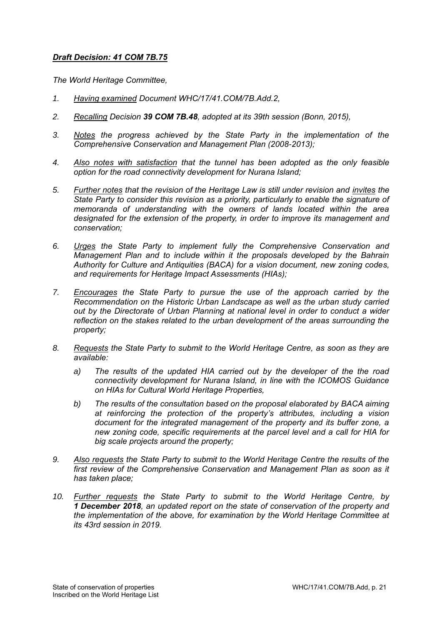# *Draft Decision: 41 COM 7B.75*

*The World Heritage Committee,* 

- *1. Having examined Document WHC/17/41.COM/7B.Add.2,*
- *2. Recalling Decision 39 COM 7B.48, adopted at its 39th session (Bonn, 2015),*
- *3. Notes the progress achieved by the State Party in the implementation of the Comprehensive Conservation and Management Plan (2008-2013);*
- *4. Also notes with satisfaction that the tunnel has been adopted as the only feasible option for the road connectivity development for Nurana Island;*
- *5. Further notes that the revision of the Heritage Law is still under revision and invites the State Party to consider this revision as a priority, particularly to enable the signature of memoranda of understanding with the owners of lands located within the area designated for the extension of the property, in order to improve its management and conservation;*
- *6. Urges the State Party to implement fully the Comprehensive Conservation and Management Plan and to include within it the proposals developed by the Bahrain Authority for Culture and Antiquities (BACA) for a vision document, new zoning codes, and requirements for Heritage Impact Assessments (HIAs);*
- *7. Encourages the State Party to pursue the use of the approach carried by the Recommendation on the Historic Urban Landscape as well as the urban study carried out by the Directorate of Urban Planning at national level in order to conduct a wider reflection on the stakes related to the urban development of the areas surrounding the property;*
- *8. Requests the State Party to submit to the World Heritage Centre, as soon as they are available:*
	- *a) The results of the updated HIA carried out by the developer of the the road connectivity development for Nurana Island, in line with the ICOMOS Guidance on HIAs for Cultural World Heritage Properties,*
	- *b) The results of the consultation based on the proposal elaborated by BACA aiming at reinforcing the protection of the property's attributes, including a vision document for the integrated management of the property and its buffer zone, a new zoning code, specific requirements at the parcel level and a call for HIA for big scale projects around the property;*
- *9. Also requests the State Party to submit to the World Heritage Centre the results of the first review of the Comprehensive Conservation and Management Plan as soon as it has taken place;*
- *10. Further requests the State Party to submit to the World Heritage Centre, by 1 December 2018, an updated report on the state of conservation of the property and the implementation of the above, for examination by the World Heritage Committee at its 43rd session in 2019.*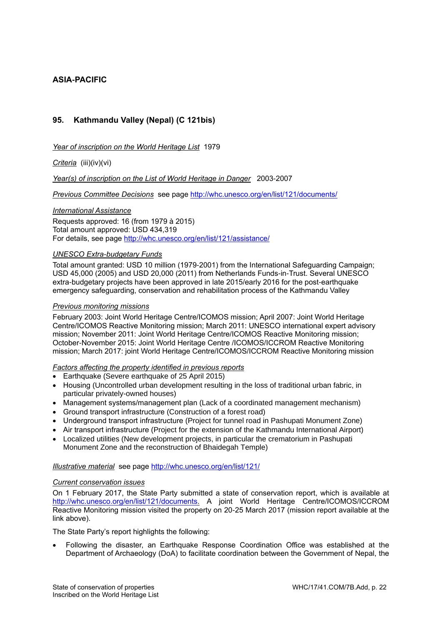# <span id="page-21-0"></span>**ASIA-PACIFIC**

# <span id="page-21-1"></span>**95. Kathmandu Valley (Nepal) (C 121bis)**

*Year of inscription on the World Heritage List* 1979

*Criteria* (iii)(iv)(vi)

*Year(s) of inscription on the List of World Heritage in Danger* 2003-2007

*Previous Committee Decisions* see page [http://whc.unesco.org/en/list/121/documents/](http://whc.unesco.org/en/list/121/documents)

#### *International Assistance*

Requests approved: 16 (from 1979 à 2015) Total amount approved: USD 434,319 For details, see page [http://whc.unesco.org/en/list/121/assistance/](http://whc.unesco.org/en/list/121/assistance)

#### *UNESCO Extra-budgetary Funds*

Total amount granted: USD 10 million (1979-2001) from the International Safeguarding Campaign; USD 45,000 (2005) and USD 20,000 (2011) from Netherlands Funds-in-Trust. Several UNESCO extra-budgetary projects have been approved in late 2015/early 2016 for the post-earthquake emergency safeguarding, conservation and rehabilitation process of the Kathmandu Valley

#### *Previous monitoring missions*

February 2003: Joint World Heritage Centre/ICOMOS mission; April 2007: Joint World Heritage Centre/ICOMOS Reactive Monitoring mission; March 2011: UNESCO international expert advisory mission; November 2011: Joint World Heritage Centre/ICOMOS Reactive Monitoring mission; October-November 2015: Joint World Heritage Centre /ICOMOS/ICCROM Reactive Monitoring mission; March 2017: joint World Heritage Centre/ICOMOS/ICCROM Reactive Monitoring mission

#### *Factors affecting the property identified in previous reports*

- Earthquake (Severe earthquake of 25 April 2015)
- Housing (Uncontrolled urban development resulting in the loss of traditional urban fabric, in particular privately-owned houses)
- Management systems/management plan (Lack of a coordinated management mechanism)
- Ground transport infrastructure (Construction of a forest road)
- Underground transport infrastructure (Project for tunnel road in Pashupati Monument Zone)
- Air transport infrastructure (Project for the extension of the Kathmandu International Airport)
- Localized utilities (New development projects, in particular the crematorium in Pashupati Monument Zone and the reconstruction of Bhaidegah Temple)

#### *Illustrative material* see page<http://whc.unesco.org/en/list/121/>

#### *Current conservation issues*

On 1 February 2017, the State Party submitted a state of conservation report, which is available at [http://whc.unesco.org/en/list/121/documents.](http://whc.unesco.org/en/list/121/documents) A joint World Heritage Centre/ICOMOS/ICCROM Reactive Monitoring mission visited the property on 20-25 March 2017 (mission report available at the link above).

The State Party's report highlights the following:

 Following the disaster, an Earthquake Response Coordination Office was established at the Department of Archaeology (DoA) to facilitate coordination between the Government of Nepal, the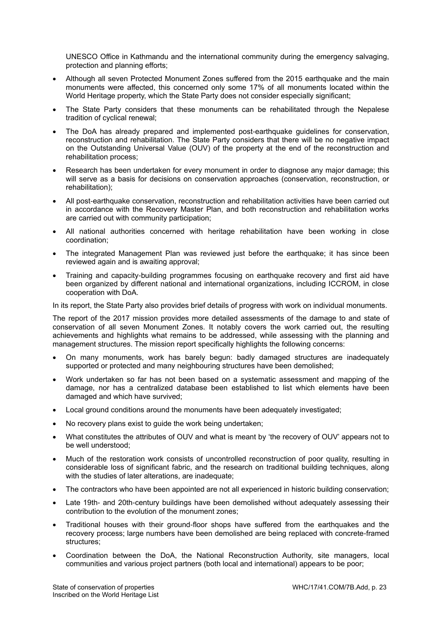UNESCO Office in Kathmandu and the international community during the emergency salvaging, protection and planning efforts;

- Although all seven Protected Monument Zones suffered from the 2015 earthquake and the main monuments were affected, this concerned only some 17% of all monuments located within the World Heritage property, which the State Party does not consider especially significant;
- The State Party considers that these monuments can be rehabilitated through the Nepalese tradition of cyclical renewal;
- The DoA has already prepared and implemented post-earthquake guidelines for conservation, reconstruction and rehabilitation. The State Party considers that there will be no negative impact on the Outstanding Universal Value (OUV) of the property at the end of the reconstruction and rehabilitation process;
- Research has been undertaken for every monument in order to diagnose any major damage; this will serve as a basis for decisions on conservation approaches (conservation, reconstruction, or rehabilitation);
- All post-earthquake conservation, reconstruction and rehabilitation activities have been carried out in accordance with the Recovery Master Plan, and both reconstruction and rehabilitation works are carried out with community participation;
- All national authorities concerned with heritage rehabilitation have been working in close coordination;
- The integrated Management Plan was reviewed just before the earthquake; it has since been reviewed again and is awaiting approval;
- Training and capacity-building programmes focusing on earthquake recovery and first aid have been organized by different national and international organizations, including ICCROM, in close cooperation with DoA.

In its report, the State Party also provides brief details of progress with work on individual monuments.

The report of the 2017 mission provides more detailed assessments of the damage to and state of conservation of all seven Monument Zones. It notably covers the work carried out, the resulting achievements and highlights what remains to be addressed, while assessing with the planning and management structures. The mission report specifically highlights the following concerns:

- On many monuments, work has barely begun: badly damaged structures are inadequately supported or protected and many neighbouring structures have been demolished;
- Work undertaken so far has not been based on a systematic assessment and mapping of the damage, nor has a centralized database been established to list which elements have been damaged and which have survived;
- Local ground conditions around the monuments have been adequately investigated;
- No recovery plans exist to guide the work being undertaken;
- What constitutes the attributes of OUV and what is meant by 'the recovery of OUV' appears not to be well understood;
- Much of the restoration work consists of uncontrolled reconstruction of poor quality, resulting in considerable loss of significant fabric, and the research on traditional building techniques, along with the studies of later alterations, are inadequate;
- The contractors who have been appointed are not all experienced in historic building conservation;
- Late 19th- and 20th-century buildings have been demolished without adequately assessing their contribution to the evolution of the monument zones;
- Traditional houses with their ground-floor shops have suffered from the earthquakes and the recovery process; large numbers have been demolished are being replaced with concrete-framed structures;
- Coordination between the DoA, the National Reconstruction Authority, site managers, local communities and various project partners (both local and international) appears to be poor;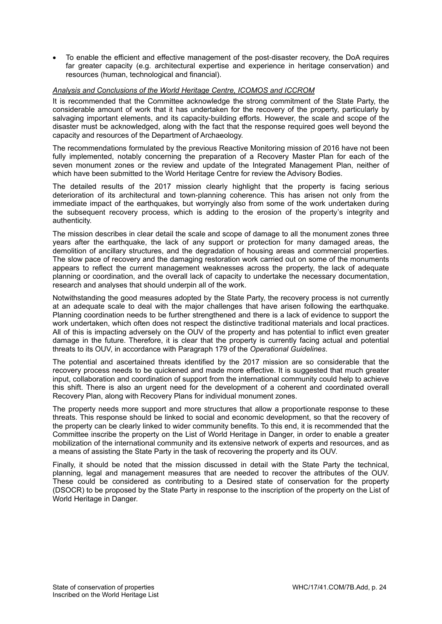To enable the efficient and effective management of the post-disaster recovery, the DoA requires far greater capacity (e.g. architectural expertise and experience in heritage conservation) and resources (human, technological and financial).

#### *Analysis and Conclusions of the World Heritage Centre, ICOMOS and ICCROM*

It is recommended that the Committee acknowledge the strong commitment of the State Party, the considerable amount of work that it has undertaken for the recovery of the property, particularly by salvaging important elements, and its capacity-building efforts. However, the scale and scope of the disaster must be acknowledged, along with the fact that the response required goes well beyond the capacity and resources of the Department of Archaeology.

The recommendations formulated by the previous Reactive Monitoring mission of 2016 have not been fully implemented, notably concerning the preparation of a Recovery Master Plan for each of the seven monument zones or the review and update of the Integrated Management Plan, neither of which have been submitted to the World Heritage Centre for review the Advisory Bodies.

The detailed results of the 2017 mission clearly highlight that the property is facing serious deterioration of its architectural and town-planning coherence. This has arisen not only from the immediate impact of the earthquakes, but worryingly also from some of the work undertaken during the subsequent recovery process, which is adding to the erosion of the property's integrity and authenticity.

The mission describes in clear detail the scale and scope of damage to all the monument zones three years after the earthquake, the lack of any support or protection for many damaged areas, the demolition of ancillary structures, and the degradation of housing areas and commercial properties. The slow pace of recovery and the damaging restoration work carried out on some of the monuments appears to reflect the current management weaknesses across the property, the lack of adequate planning or coordination, and the overall lack of capacity to undertake the necessary documentation, research and analyses that should underpin all of the work.

Notwithstanding the good measures adopted by the State Party, the recovery process is not currently at an adequate scale to deal with the major challenges that have arisen following the earthquake. Planning coordination needs to be further strengthened and there is a lack of evidence to support the work undertaken, which often does not respect the distinctive traditional materials and local practices. All of this is impacting adversely on the OUV of the property and has potential to inflict even greater damage in the future. Therefore, it is clear that the property is currently facing actual and potential threats to its OUV, in accordance with Paragraph 179 of the *Operational Guidelines*.

The potential and ascertained threats identified by the 2017 mission are so considerable that the recovery process needs to be quickened and made more effective. It is suggested that much greater input, collaboration and coordination of support from the international community could help to achieve this shift. There is also an urgent need for the development of a coherent and coordinated overall Recovery Plan, along with Recovery Plans for individual monument zones.

The property needs more support and more structures that allow a proportionate response to these threats. This response should be linked to social and economic development, so that the recovery of the property can be clearly linked to wider community benefits. To this end, it is recommended that the Committee inscribe the property on the List of World Heritage in Danger, in order to enable a greater mobilization of the international community and its extensive network of experts and resources, and as a means of assisting the State Party in the task of recovering the property and its OUV.

Finally, it should be noted that the mission discussed in detail with the State Party the technical, planning, legal and management measures that are needed to recover the attributes of the OUV. These could be considered as contributing to a Desired state of conservation for the property (DSOCR) to be proposed by the State Party in response to the inscription of the property on the List of World Heritage in Danger.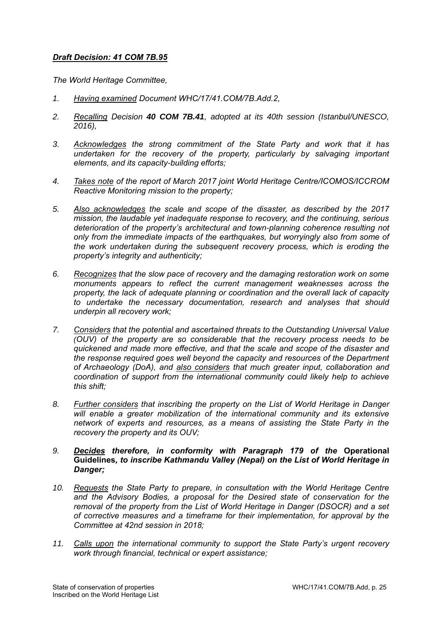# *Draft Decision: 41 COM 7B.95*

*The World Heritage Committee,* 

- *1. Having examined Document WHC/17/41.COM/7B.Add.2,*
- *2. Recalling Decision 40 COM 7B.41, adopted at its 40th session (Istanbul/UNESCO, 2016),*
- *3. Acknowledges the strong commitment of the State Party and work that it has undertaken for the recovery of the property, particularly by salvaging important elements, and its capacity-building efforts;*
- *4. Takes note of the report of March 2017 joint World Heritage Centre/ICOMOS/ICCROM Reactive Monitoring mission to the property;*
- *5. Also acknowledges the scale and scope of the disaster, as described by the 2017 mission, the laudable yet inadequate response to recovery, and the continuing, serious deterioration of the property's architectural and town-planning coherence resulting not only from the immediate impacts of the earthquakes, but worryingly also from some of the work undertaken during the subsequent recovery process, which is eroding the property's integrity and authenticity;*
- *6. Recognizes that the slow pace of recovery and the damaging restoration work on some monuments appears to reflect the current management weaknesses across the property, the lack of adequate planning or coordination and the overall lack of capacity to undertake the necessary documentation, research and analyses that should underpin all recovery work;*
- *7. Considers that the potential and ascertained threats to the Outstanding Universal Value (OUV) of the property are so considerable that the recovery process needs to be quickened and made more effective, and that the scale and scope of the disaster and the response required goes well beyond the capacity and resources of the Department of Archaeology (DoA), and also considers that much greater input, collaboration and coordination of support from the international community could likely help to achieve this shift;*
- *8. Further considers that inscribing the property on the List of World Heritage in Danger will enable a greater mobilization of the international community and its extensive network of experts and resources, as a means of assisting the State Party in the recovery the property and its OUV;*

# *9. Decides therefore, in conformity with Paragraph 179 of the* **Operational Guidelines***, to inscribe Kathmandu Valley (Nepal) on the List of World Heritage in Danger;*

- *10. Requests the State Party to prepare, in consultation with the World Heritage Centre and the Advisory Bodies, a proposal for the Desired state of conservation for the removal of the property from the List of World Heritage in Danger (DSOCR) and a set of corrective measures and a timeframe for their implementation, for approval by the Committee at 42nd session in 2018;*
- *11. Calls upon the international community to support the State Party's urgent recovery work through financial, technical or expert assistance;*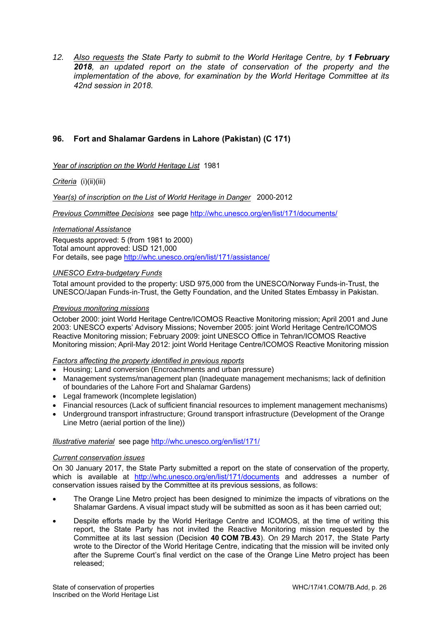*12. Also requests the State Party to submit to the World Heritage Centre, by 1 February 2018, an updated report on the state of conservation of the property and the implementation of the above, for examination by the World Heritage Committee at its 42nd session in 2018.* 

# <span id="page-25-0"></span>**96. Fort and Shalamar Gardens in Lahore (Pakistan) (C 171)**

*Year of inscription on the World Heritage List* 1981

*Criteria* (i)(ii)(iii)

*Year(s) of inscription on the List of World Heritage in Danger* 2000-2012

*Previous Committee Decisions* see page [http://whc.unesco.org/en/list/171/documents/](http://whc.unesco.org/en/list/171/documents)

#### *International Assistance*

Requests approved: 5 (from 1981 to 2000) Total amount approved: USD 121,000 For details, see page [http://whc.unesco.org/en/list/171/assistance/](http://whc.unesco.org/en/list/171/assistance)

#### *UNESCO Extra-budgetary Funds*

Total amount provided to the property: USD 975,000 from the UNESCO/Norway Funds-in-Trust, the UNESCO/Japan Funds-in-Trust, the Getty Foundation, and the United States Embassy in Pakistan.

#### *Previous monitoring missions*

October 2000: joint World Heritage Centre/ICOMOS Reactive Monitoring mission; April 2001 and June 2003: UNESCO experts' Advisory Missions; November 2005: joint World Heritage Centre/ICOMOS Reactive Monitoring mission; February 2009: joint UNESCO Office in Tehran/ICOMOS Reactive Monitoring mission; April-May 2012: joint World Heritage Centre/ICOMOS Reactive Monitoring mission

#### *Factors affecting the property identified in previous reports*

- Housing; Land conversion (Encroachments and urban pressure)
- Management systems/management plan (Inadequate management mechanisms; lack of definition of boundaries of the Lahore Fort and Shalamar Gardens)
- Legal framework (Incomplete legislation)
- Financial resources (Lack of sufficient financial resources to implement management mechanisms)
- Underground transport infrastructure; Ground transport infrastructure (Development of the Orange Line Metro (aerial portion of the line))

#### *Illustrative material* see page<http://whc.unesco.org/en/list/171/>

#### *Current conservation issues*

On 30 January 2017, the State Party submitted a report on the state of conservation of the property, which is available at <http://whc.unesco.org/en/list/171/documents> and addresses a number of conservation issues raised by the Committee at its previous sessions, as follows:

- The Orange Line Metro project has been designed to minimize the impacts of vibrations on the Shalamar Gardens. A visual impact study will be submitted as soon as it has been carried out;
- Despite efforts made by the World Heritage Centre and ICOMOS, at the time of writing this report, the State Party has not invited the Reactive Monitoring mission requested by the Committee at its last session (Decision **40 COM 7B.43**). On 29 March 2017, the State Party wrote to the Director of the World Heritage Centre, indicating that the mission will be invited only after the Supreme Court's final verdict on the case of the Orange Line Metro project has been released;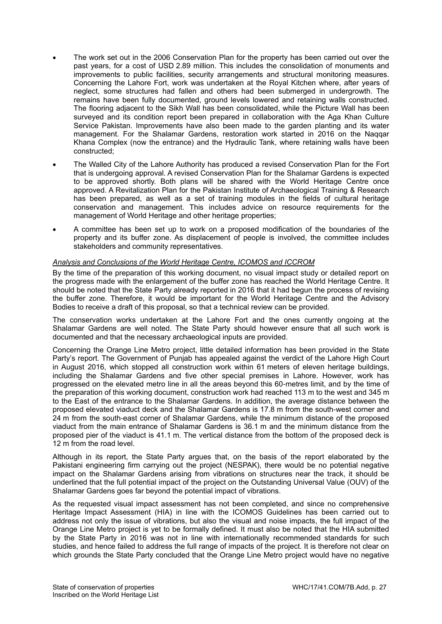- The work set out in the 2006 Conservation Plan for the property has been carried out over the past years, for a cost of USD 2.89 million. This includes the consolidation of monuments and improvements to public facilities, security arrangements and structural monitoring measures. Concerning the Lahore Fort, work was undertaken at the Royal Kitchen where, after years of neglect, some structures had fallen and others had been submerged in undergrowth. The remains have been fully documented, ground levels lowered and retaining walls constructed. The flooring adjacent to the Sikh Wall has been consolidated, while the Picture Wall has been surveyed and its condition report been prepared in collaboration with the Aga Khan Culture Service Pakistan. Improvements have also been made to the garden planting and its water management. For the Shalamar Gardens, restoration work started in 2016 on the Naqqar Khana Complex (now the entrance) and the Hydraulic Tank, where retaining walls have been constructed;
- The Walled City of the Lahore Authority has produced a revised Conservation Plan for the Fort that is undergoing approval. A revised Conservation Plan for the Shalamar Gardens is expected to be approved shortly. Both plans will be shared with the World Heritage Centre once approved. A Revitalization Plan for the Pakistan Institute of Archaeological Training & Research has been prepared, as well as a set of training modules in the fields of cultural heritage conservation and management. This includes advice on resource requirements for the management of World Heritage and other heritage properties;
- A committee has been set up to work on a proposed modification of the boundaries of the property and its buffer zone. As displacement of people is involved, the committee includes stakeholders and community representatives.

#### *Analysis and Conclusions of the World Heritage Centre, ICOMOS and ICCROM*

By the time of the preparation of this working document, no visual impact study or detailed report on the progress made with the enlargement of the buffer zone has reached the World Heritage Centre. It should be noted that the State Party already reported in 2016 that it had begun the process of revising the buffer zone. Therefore, it would be important for the World Heritage Centre and the Advisory Bodies to receive a draft of this proposal, so that a technical review can be provided.

The conservation works undertaken at the Lahore Fort and the ones currently ongoing at the Shalamar Gardens are well noted. The State Party should however ensure that all such work is documented and that the necessary archaeological inputs are provided.

Concerning the Orange Line Metro project, little detailed information has been provided in the State Party's report. The Government of Punjab has appealed against the verdict of the Lahore High Court in August 2016, which stopped all construction work within 61 meters of eleven heritage buildings, including the Shalamar Gardens and five other special premises in Lahore. However, work has progressed on the elevated metro line in all the areas beyond this 60-metres limit, and by the time of the preparation of this working document, construction work had reached 113 m to the west and 345 m to the East of the entrance to the Shalamar Gardens. In addition, the average distance between the proposed elevated viaduct deck and the Shalamar Gardens is 17.8 m from the south-west corner and 24 m from the south-east corner of Shalamar Gardens, while the minimum distance of the proposed viaduct from the main entrance of Shalamar Gardens is 36.1 m and the minimum distance from the proposed pier of the viaduct is 41.1 m. The vertical distance from the bottom of the proposed deck is 12 m from the road level.

Although in its report, the State Party argues that, on the basis of the report elaborated by the Pakistani engineering firm carrying out the project (NESPAK), there would be no potential negative impact on the Shalamar Gardens arising from vibrations on structures near the track, it should be underlined that the full potential impact of the project on the Outstanding Universal Value (OUV) of the Shalamar Gardens goes far beyond the potential impact of vibrations.

As the requested visual impact assessment has not been completed, and since no comprehensive Heritage Impact Assessment (HIA) in line with the ICOMOS Guidelines has been carried out to address not only the issue of vibrations, but also the visual and noise impacts, the full impact of the Orange Line Metro project is yet to be formally defined. It must also be noted that the HIA submitted by the State Party in 2016 was not in line with internationally recommended standards for such studies, and hence failed to address the full range of impacts of the project. It is therefore not clear on which grounds the State Party concluded that the Orange Line Metro project would have no negative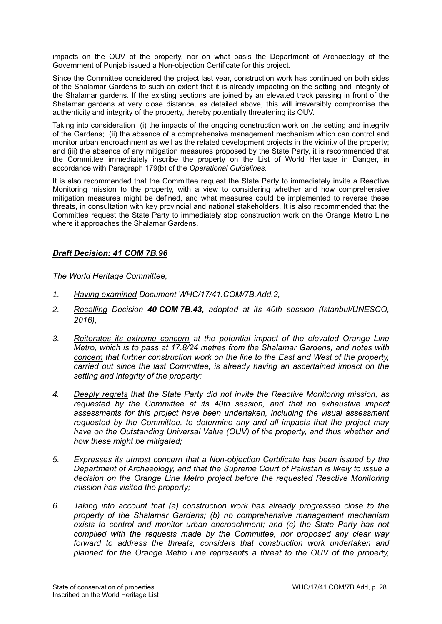impacts on the OUV of the property, nor on what basis the Department of Archaeology of the Government of Punjab issued a Non-objection Certificate for this project.

Since the Committee considered the project last year, construction work has continued on both sides of the Shalamar Gardens to such an extent that it is already impacting on the setting and integrity of the Shalamar gardens. If the existing sections are joined by an elevated track passing in front of the Shalamar gardens at very close distance, as detailed above, this will irreversibly compromise the authenticity and integrity of the property, thereby potentially threatening its OUV.

Taking into consideration (i) the impacts of the ongoing construction work on the setting and integrity of the Gardens; (ii) the absence of a comprehensive management mechanism which can control and monitor urban encroachment as well as the related development projects in the vicinity of the property; and (iii) the absence of any mitigation measures proposed by the State Party, it is recommended that the Committee immediately inscribe the property on the List of World Heritage in Danger, in accordance with Paragraph 179(b) of the *Operational Guidelines*.

It is also recommended that the Committee request the State Party to immediately invite a Reactive Monitoring mission to the property, with a view to considering whether and how comprehensive mitigation measures might be defined, and what measures could be implemented to reverse these threats, in consultation with key provincial and national stakeholders. It is also recommended that the Committee request the State Party to immediately stop construction work on the Orange Metro Line where it approaches the Shalamar Gardens.

# *Draft Decision: 41 COM 7B.96*

*The World Heritage Committee,* 

- *1. Having examined Document WHC/17/41.COM/7B.Add.2,*
- *2. Recalling Decision 40 COM 7B.43, adopted at its 40th session (Istanbul/UNESCO, 2016),*
- *3. Reiterates its extreme concern at the potential impact of the elevated Orange Line Metro, which is to pass at 17.8/24 metres from the Shalamar Gardens; and notes with concern that further construction work on the line to the East and West of the property, carried out since the last Committee, is already having an ascertained impact on the setting and integrity of the property;*
- *4. Deeply regrets that the State Party did not invite the Reactive Monitoring mission, as requested by the Committee at its 40th session, and that no exhaustive impact assessments for this project have been undertaken, including the visual assessment requested by the Committee, to determine any and all impacts that the project may have on the Outstanding Universal Value (OUV) of the property, and thus whether and how these might be mitigated;*
- *5. Expresses its utmost concern that a Non-objection Certificate has been issued by the Department of Archaeology, and that the Supreme Court of Pakistan is likely to issue a decision on the Orange Line Metro project before the requested Reactive Monitoring mission has visited the property;*
- *6. Taking into account that (a) construction work has already progressed close to the property of the Shalamar Gardens; (b) no comprehensive management mechanism exists to control and monitor urban encroachment; and (c) the State Party has not complied with the requests made by the Committee, nor proposed any clear way forward to address the threats, considers that construction work undertaken and planned for the Orange Metro Line represents a threat to the OUV of the property,*